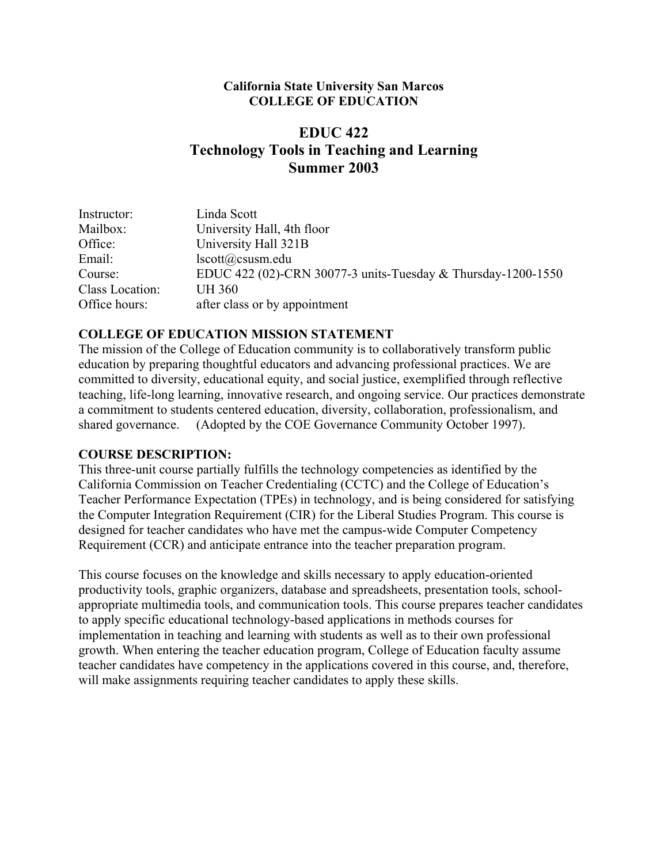### **California State University San Marcos COLLEGE OF EDUCATION**

# **EDUC 422 Technology Tools in Teaching and Learning Summer 2003**

| Instructor:     | Linda Scott                                                  |
|-----------------|--------------------------------------------------------------|
| Mailbox:        | University Hall, 4th floor                                   |
| Office:         | University Hall 321B                                         |
| Email:          | lscott@csusm.edu                                             |
| Course:         | EDUC 422 (02)-CRN 30077-3 units-Tuesday & Thursday-1200-1550 |
| Class Location: | <b>UH 360</b>                                                |
| Office hours:   | after class or by appointment                                |

### **COLLEGE OF EDUCATION MISSION STATEMENT**

The mission of the College of Education community is to collaboratively transform public education by preparing thoughtful educators and advancing professional practices. We are committed to diversity, educational equity, and social justice, exemplified through reflective teaching, life-long learning, innovative research, and ongoing service. Our practices demonstrate a commitment to students centered education, diversity, collaboration, professionalism, and shared governance. (Adopted by the COE Governance Community October 1997).

### **COURSE DESCRIPTION:**

This three-unit course partially fulfills the technology competencies as identified by the California Commission on Teacher Credentialing (CCTC) and the College of Education's Teacher Performance Expectation (TPEs) in technology, and is being considered for satisfying the Computer Integration Requirement (CIR) for the Liberal Studies Program. This course is designed for teacher candidates who have met the campus-wide Computer Competency Requirement (CCR) and anticipate entrance into the teacher preparation program.

This course focuses on the knowledge and skills necessary to apply education-oriented productivity tools, graphic organizers, database and spreadsheets, presentation tools, schoolappropriate multimedia tools, and communication tools. This course prepares teacher candidates to apply specific educational technology-based applications in methods courses for implementation in teaching and learning with students as well as to their own professional growth. When entering the teacher education program, College of Education faculty assume teacher candidates have competency in the applications covered in this course, and, therefore, will make assignments requiring teacher candidates to apply these skills.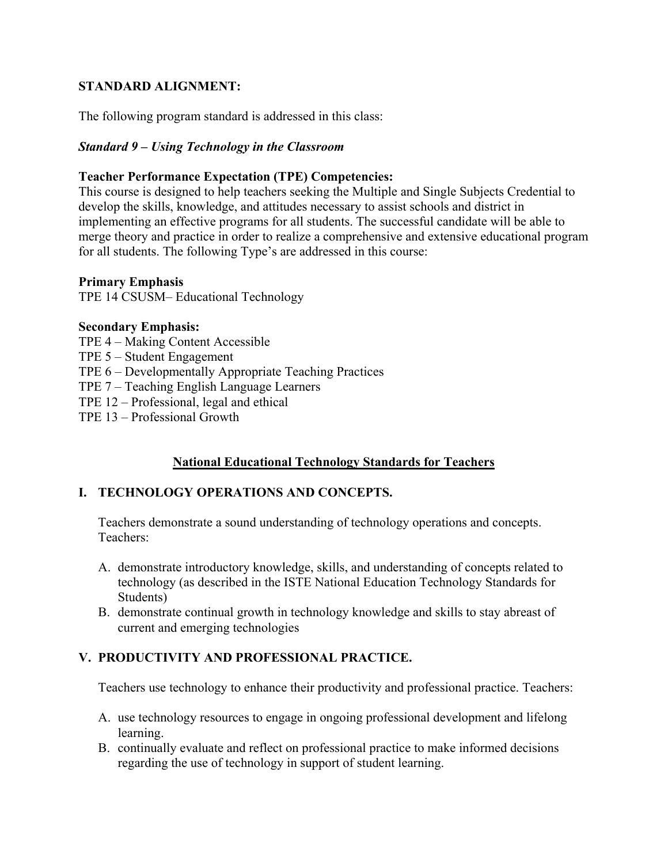# **STANDARD ALIGNMENT:**

The following program standard is addressed in this class:

### *Standard 9 – Using Technology in the Classroom*

### **Teacher Performance Expectation (TPE) Competencies:**

This course is designed to help teachers seeking the Multiple and Single Subjects Credential to develop the skills, knowledge, and attitudes necessary to assist schools and district in implementing an effective programs for all students. The successful candidate will be able to merge theory and practice in order to realize a comprehensive and extensive educational program for all students. The following Type's are addressed in this course:

### **Primary Emphasis**

TPE 14 CSUSM– Educational Technology

### **Secondary Emphasis:**

- TPE 4 Making Content Accessible
- TPE 5 Student Engagement
- TPE 6 Developmentally Appropriate Teaching Practices
- TPE 7 Teaching English Language Learners
- TPE 12 Professional, legal and ethical
- TPE 13 Professional Growth

# **National Educational Technology Standards for Teachers**

# **I. TECHNOLOGY OPERATIONS AND CONCEPTS.**

Teachers demonstrate a sound understanding of technology operations and concepts. Teachers:

- A. demonstrate introductory knowledge, skills, and understanding of concepts related to technology (as described in the ISTE National Education Technology Standards for Students)
- B. demonstrate continual growth in technology knowledge and skills to stay abreast of current and emerging technologies

# **V. PRODUCTIVITY AND PROFESSIONAL PRACTICE.**

Teachers use technology to enhance their productivity and professional practice. Teachers:

- A. use technology resources to engage in ongoing professional development and lifelong learning.
- B. continually evaluate and reflect on professional practice to make informed decisions regarding the use of technology in support of student learning.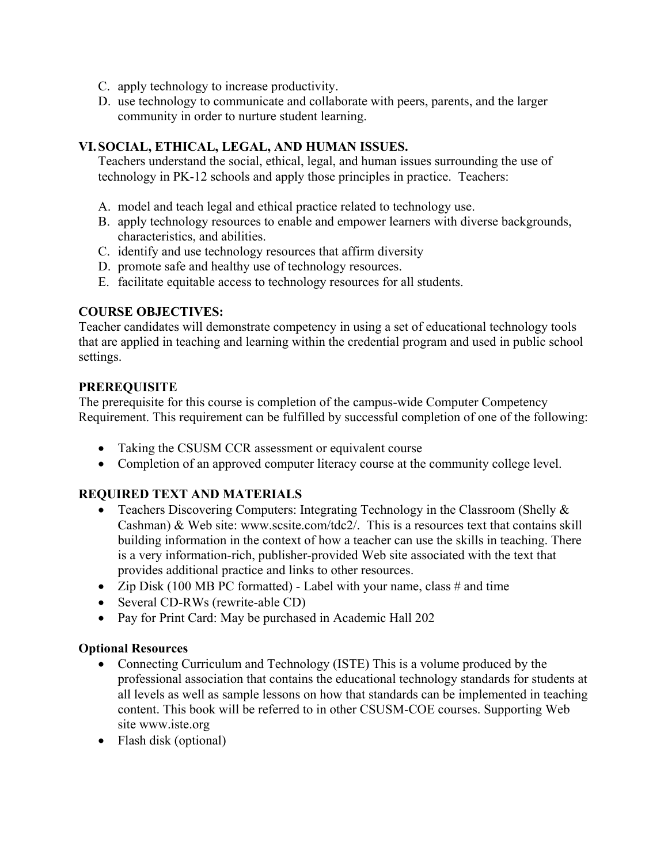- C. apply technology to increase productivity.
- D. use technology to communicate and collaborate with peers, parents, and the larger community in order to nurture student learning.

# **VI. SOCIAL, ETHICAL, LEGAL, AND HUMAN ISSUES.**

Teachers understand the social, ethical, legal, and human issues surrounding the use of technology in PK-12 schools and apply those principles in practice. Teachers:

- A. model and teach legal and ethical practice related to technology use.
- B. apply technology resources to enable and empower learners with diverse backgrounds, characteristics, and abilities.
- C. identify and use technology resources that affirm diversity
- D. promote safe and healthy use of technology resources.
- E. facilitate equitable access to technology resources for all students.

# **COURSE OBJECTIVES:**

Teacher candidates will demonstrate competency in using a set of educational technology tools that are applied in teaching and learning within the credential program and used in public school settings.

# **PREREQUISITE**

The prerequisite for this course is completion of the campus-wide Computer Competency Requirement. This requirement can be fulfilled by successful completion of one of the following:

- Taking the CSUSM CCR assessment or equivalent course
- Completion of an approved computer literacy course at the community college level.

# **REQUIRED TEXT AND MATERIALS**

- Teachers Discovering Computers: Integrating Technology in the Classroom (Shelly & Cashman) & Web site: www.scsite.com/tdc2/. This is a resources text that contains skill building information in the context of how a teacher can use the skills in teaching. There is a very information-rich, publisher-provided Web site associated with the text that provides additional practice and links to other resources.
- Zip Disk (100 MB PC formatted) Label with your name, class  $\#$  and time
- Several CD-RWs (rewrite-able CD)
- Pay for Print Card: May be purchased in Academic Hall 202

### **Optional Resources**

- Connecting Curriculum and Technology (ISTE) This is a volume produced by the professional association that contains the educational technology standards for students at all levels as well as sample lessons on how that standards can be implemented in teaching content. This book will be referred to in other CSUSM-COE courses. Supporting Web site www.iste.org
- Flash disk (optional)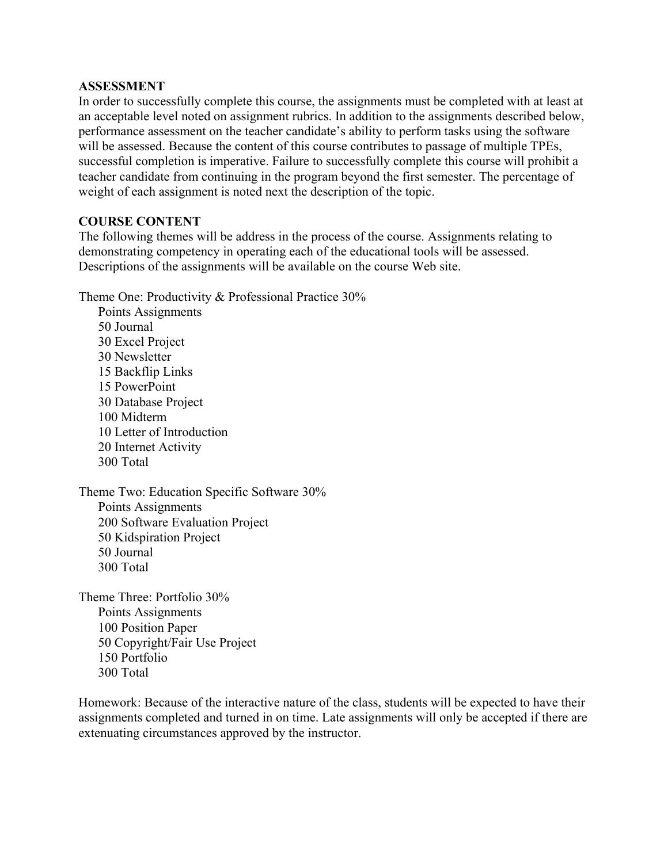#### **ASSESSMENT**

In order to successfully complete this course, the assignments must be completed with at least at an acceptable level noted on assignment rubrics. In addition to the assignments described below, performance assessment on the teacher candidate's ability to perform tasks using the software will be assessed. Because the content of this course contributes to passage of multiple TPEs, successful completion is imperative. Failure to successfully complete this course will prohibit a teacher candidate from continuing in the program beyond the first semester. The percentage of weight of each assignment is noted next the description of the topic.

### **COURSE CONTENT**

The following themes will be address in the process of the course. Assignments relating to demonstrating competency in operating each of the educational tools will be assessed. Descriptions of the assignments will be available on the course Web site.

Theme One: Productivity & Professional Practice 30%

Points Assignments 50 Journal 30 Excel Project 30 Newsletter 15 Backflip Links 15 PowerPoint 30 Database Project 100 Midterm 10 Letter of Introduction 20 Internet Activity 300 Total

Theme Two: Education Specific Software 30% Points Assignments 200 Software Evaluation Project 50 Kidspiration Project 50 Journal 300 Total

Theme Three: Portfolio 30% Points Assignments 100 Position Paper 50 Copyright/Fair Use Project 150 Portfolio 300 Total

Homework: Because of the interactive nature of the class, students will be expected to have their assignments completed and turned in on time. Late assignments will only be accepted if there are extenuating circumstances approved by the instructor.